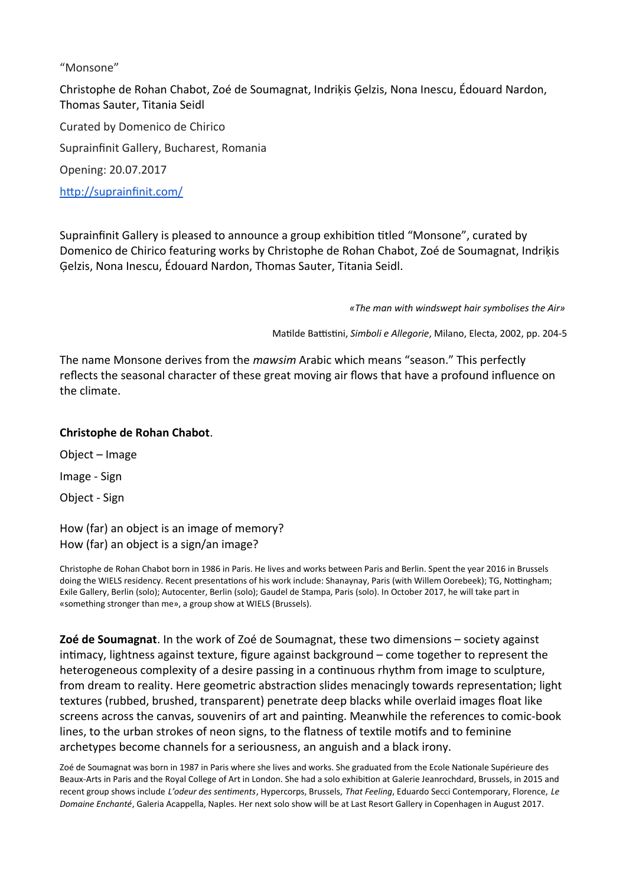## "Monsone"

Christophe de Rohan Chabot, Zoé de Soumagnat, Indriķis Ģelzis, Nona Inescu, Édouard Nardon, Thomas Sauter, Titania Seidl

Curated by Domenico de Chirico Suprainfinit Gallery, Bucharest, Romania Opening: 20.07.2017 <http://suprainfinit.com/>

Suprainfinit Gallery is pleased to announce a group exhibition titled "Monsone", curated by Domenico de Chirico featuring works by Christophe de Rohan Chabot, Zoé de Soumagnat, Indriķis Ģelzis, Nona Inescu, Édouard Nardon, Thomas Sauter, Titania Seidl.

*«The man with windswept hair symbolises the Air»*

Matilde Battistini, *Simboli e Allegorie*, Milano, Electa, 2002, pp. 204-5

The name Monsone derives from the *mawsim* Arabic which means "season." This perfectly reflects the seasonal character of these great moving air flows that have a profound influence on the climate.

## **Christophe de Rohan Chabot**.

Object – Image

Image - Sign

Object - Sign

How (far) an object is an image of memory? How (far) an object is a sign/an image?

Christophe de Rohan Chabot born in 1986 in Paris. He lives and works between Paris and Berlin. Spent the year 2016 in Brussels doing the WIELS residency. Recent presentations of his work include: Shanaynay, Paris (with Willem Oorebeek); TG, Nottingham; Exile Gallery, Berlin (solo); Autocenter, Berlin (solo); Gaudel de Stampa, Paris (solo). In October 2017, he will take part in «something stronger than me», a group show at WIELS (Brussels).

**Zoé de Soumagnat**. In the work of Zoé de Soumagnat, these two dimensions – society against intimacy, lightness against texture, figure against background – come together to represent the heterogeneous complexity of a desire passing in a continuous rhythm from image to sculpture, from dream to reality. Here geometric abstraction slides menacingly towards representation; light textures (rubbed, brushed, transparent) penetrate deep blacks while overlaid images float like screens across the canvas, souvenirs of art and painting. Meanwhile the references to comic-book lines, to the urban strokes of neon signs, to the flatness of textile motifs and to feminine archetypes become channels for a seriousness, an anguish and a black irony.

Zoé de Soumagnat was born in 1987 in Paris where she lives and works. She graduated from the Ecole Nationale Supérieure des Beaux-Arts in Paris and the Royal College of Art in London. She had a solo exhibition at Galerie Jeanrochdard, Brussels, in 2015 and recent group shows include *L'odeur des sentiments*, Hypercorps, Brussels, *That Feeling*, Eduardo Secci Contemporary, Florence, *Le Domaine Enchanté*, Galeria Acappella, Naples. Her next solo show will be at Last Resort Gallery in Copenhagen in August 2017.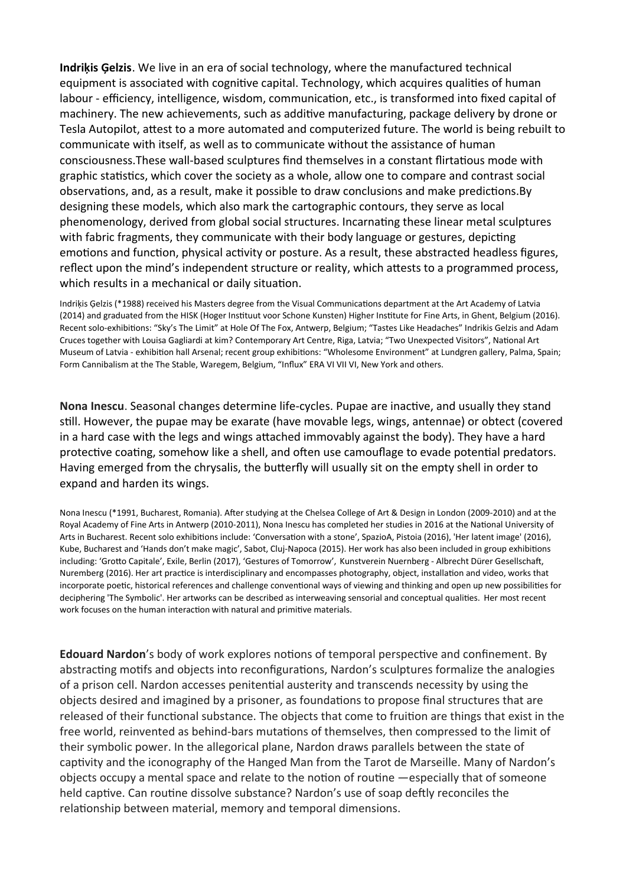**Indriķis Ģelzis**. We live in an era of social technology, where the manufactured technical equipment is associated with cognitive capital. Technology, which acquires qualities of human labour - efficiency, intelligence, wisdom, communication, etc., is transformed into fixed capital of machinery. The new achievements, such as additive manufacturing, package delivery by drone or Tesla Autopilot, attest to a more automated and computerized future. The world is being rebuilt to communicate with itself, as well as to communicate without the assistance of human consciousness.These wall-based sculptures find themselves in a constant flirtatious mode with graphic statistics, which cover the society as a whole, allow one to compare and contrast social observations, and, as a result, make it possible to draw conclusions and make predictions.By designing these models, which also mark the cartographic contours, they serve as local phenomenology, derived from global social structures. Incarnating these linear metal sculptures with fabric fragments, they communicate with their body language or gestures, depicting emotions and function, physical activity or posture. As a result, these abstracted headless figures, reflect upon the mind's independent structure or reality, which attests to a programmed process, which results in a mechanical or daily situation.

Indriķis Ģelzis (\*1988) received his Masters degree from the Visual Communications department at the Art Academy of Latvia (2014) and graduated from the HISK (Hoger Instituut voor Schone Kunsten) Higher Institute for Fine Arts, in Ghent, Belgium (2016). Recent solo-exhibitions: "Sky's The Limit" at Hole Of The Fox, Antwerp, Belgium; "Tastes Like Headaches" Indrikis Gelzis and Adam Cruces together with Louisa Gagliardi at kim? Contemporary Art Centre, Riga, Latvia; "Two Unexpected Visitors", National Art Museum of Latvia - exhibition hall Arsenal; recent group exhibitions: "Wholesome Environment" at Lundgren gallery, Palma, Spain; Form Cannibalism at the The Stable, Waregem, Belgium, "Influx" ERA VI VII VI, New York and others.

**Nona Inescu**. Seasonal changes determine life-cycles. Pupae are inactive, and usually they stand still. However, the pupae may be exarate (have movable legs, wings, antennae) or obtect (covered in a hard case with the legs and wings attached immovably against the body). They have a hard protective coating, somehow like a shell, and often use camouflage to evade potential predators. Having emerged from the chrysalis, the butterfly will usually sit on the empty shell in order to expand and harden its wings.

Nona Inescu (\*1991, Bucharest, Romania). After studying at the Chelsea College of Art & Design in London (2009-2010) and at the Royal Academy of Fine Arts in Antwerp (2010-2011), Nona Inescu has completed her studies in 2016 at the National University of Arts in Bucharest. Recent solo exhibitions include: 'Conversation with a stone', SpazioA, Pistoia (2016), 'Her latent image' (2016), Kube, Bucharest and 'Hands don't make magic', Sabot, Cluj-Napoca (2015). Her work has also been included in group exhibitions including: 'Grotto Capitale', Exile, Berlin (2017), 'Gestures of Tomorrow', Kunstverein Nuernberg - Albrecht Dürer Gesellschaft, Nuremberg (2016). Her art practice is interdisciplinary and encompasses photography, object, installation and video, works that incorporate poetic, historical references and challenge conventional ways of viewing and thinking and open up new possibilities for deciphering 'The Symbolic'. Her artworks can be described as interweaving sensorial and conceptual qualities. Her most recent work focuses on the human interaction with natural and primitive materials.

**Edouard Nardon**'s body of work explores notions of temporal perspective and confinement. By abstracting motifs and objects into reconfigurations, Nardon's sculptures formalize the analogies of a prison cell. Nardon accesses penitential austerity and transcends necessity by using the objects desired and imagined by a prisoner, as foundations to propose final structures that are released of their functional substance. The objects that come to fruition are things that exist in the free world, reinvented as behind-bars mutations of themselves, then compressed to the limit of their symbolic power. In the allegorical plane, Nardon draws parallels between the state of captivity and the iconography of the Hanged Man from the Tarot de Marseille. Many of Nardon's objects occupy a mental space and relate to the notion of routine —especially that of someone held captive. Can routine dissolve substance? Nardon's use of soap deftly reconciles the relationship between material, memory and temporal dimensions.